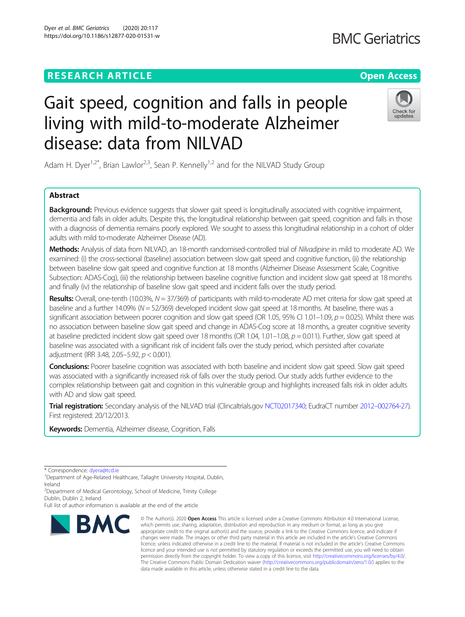## **RESEARCH ARTICLE Example 2014 12:30 The Contract of Contract ACCESS**

# Gait speed, cognition and falls in people living with mild-to-moderate Alzheimer disease: data from NILVAD

Adam H. Dyer<sup>1,2\*</sup>, Brian Lawlor<sup>2,3</sup>, Sean P. Kennelly<sup>1,2</sup> and for the NILVAD Study Group

## Abstract

Background: Previous evidence suggests that slower gait speed is longitudinally associated with cognitive impairment, dementia and falls in older adults. Despite this, the longitudinal relationship between gait speed, cognition and falls in those with a diagnosis of dementia remains poorly explored. We sought to assess this longitudinal relationship in a cohort of older adults with mild to-moderate Alzheimer Disease (AD).

Methods: Analysis of data from NILVAD, an 18-month randomised-controlled trial of Nilvadipine in mild to moderate AD. We examined: (i) the cross-sectional (baseline) association between slow gait speed and cognitive function, (ii) the relationship between baseline slow gait speed and cognitive function at 18 months (Alzheimer Disease Assessment Scale, Cognitive Subsection: ADAS-Cog), (iii) the relationship between baseline cognitive function and incident slow gait speed at 18 months and finally (iv) the relationship of baseline slow gait speed and incident falls over the study period.

Results: Overall, one-tenth (10.03%,  $N = 37/369$ ) of participants with mild-to-moderate AD met criteria for slow gait speed at baseline and a further 14.09% (N = 52/369) developed incident slow gait speed at 18 months. At baseline, there was a significant association between poorer cognition and slow gait speed (OR 1.05, 95% CI 1.01–1.09,  $p = 0.025$ ). Whilst there was no association between baseline slow gait speed and change in ADAS-Cog score at 18 months, a greater cognitive severity at baseline predicted incident slow gait speed over 18 months (OR 1.04, 1.01–1.08,  $p = 0.011$ ). Further, slow gait speed at baseline was associated with a significant risk of incident falls over the study period, which persisted after covariate adjustment (IRR 3.48, 2.05–5.92, p < 0.001).

Conclusions: Poorer baseline cognition was associated with both baseline and incident slow gait speed. Slow gait speed was associated with a significantly increased risk of falls over the study period. Our study adds further evidence to the complex relationship between gait and cognition in this vulnerable group and highlights increased falls risk in older adults with AD and slow gait speed.

Trial registration: Secondary analysis of the NILVAD trial (Clincaltrials.gov [NCT02017340](https://www.clinicaltrials.gov/ct2/show/NCT02017340); EudraCT number 2012-[002764-27\)](https://www.clinicaltrialsregister.eu/ctr-search/search?query=2012-002764-27). First registered: 20/12/2013.

Keywords: Dementia, Alzheimer disease, Cognition, Falls

Dublin, Dublin 2, Ireland

## Dyer et al. BMC Geriatrics (2020) 20:117 https://doi.org/10.1186/s12877-020-01531-w

which permits use, sharing, adaptation, distribution and reproduction in any medium or format, as long as you give appropriate credit to the original author(s) and the source, provide a link to the Creative Commons licence, and indicate if changes were made. The images or other third party material in this article are included in the article's Creative Commons licence, unless indicated otherwise in a credit line to the material. If material is not included in the article's Creative Commons licence and your intended use is not permitted by statutory regulation or exceeds the permitted use, you will need to obtain permission directly from the copyright holder. To view a copy of this licence, visit [http://creativecommons.org/licenses/by/4.0/.](http://creativecommons.org/licenses/by/4.0/) The Creative Commons Public Domain Dedication waiver [\(http://creativecommons.org/publicdomain/zero/1.0/](http://creativecommons.org/publicdomain/zero/1.0/)) applies to the data made available in this article, unless otherwise stated in a credit line to the data.

© The Author(s), 2020 **Open Access** This article is licensed under a Creative Commons Attribution 4.0 International License,

\* Correspondence: [dyera@tcd.ie](mailto:dyera@tcd.ie) <sup>1</sup>

<sup>1</sup>Department of Age-Related Healthcare, Tallaght University Hospital, Dublin, Ireland

<sup>2</sup>Department of Medical Gerontology, School of Medicine, Trinity College

Full list of author information is available at the end of the article





## **BMC Geriatrics**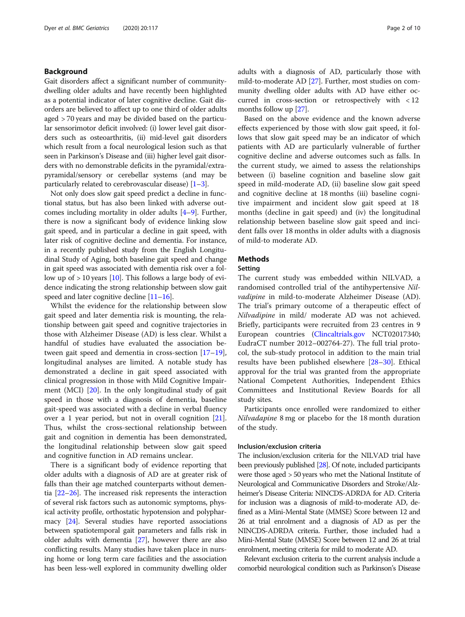## Background

Gait disorders affect a significant number of communitydwelling older adults and have recently been highlighted as a potential indicator of later cognitive decline. Gait disorders are believed to affect up to one third of older adults aged > 70 years and may be divided based on the particular sensorimotor deficit involved: (i) lower level gait disorders such as osteoarthritis, (ii) mid-level gait disorders which result from a focal neurological lesion such as that seen in Parkinson's Disease and (iii) higher level gait disorders with no demonstrable deficits in the pyramidal/extrapyramidal/sensory or cerebellar systems (and may be particularly related to cerebrovascular disease) [\[1](#page-8-0)–[3](#page-8-0)].

Not only does slow gait speed predict a decline in functional status, but has also been linked with adverse outcomes including mortality in older adults [\[4](#page-8-0)–[9](#page-8-0)]. Further, there is now a significant body of evidence linking slow gait speed, and in particular a decline in gait speed, with later risk of cognitive decline and dementia. For instance, in a recently published study from the English Longitudinal Study of Aging, both baseline gait speed and change in gait speed was associated with dementia risk over a follow up of  $> 10$  years [\[10\]](#page-8-0). This follows a large body of evidence indicating the strong relationship between slow gait speed and later cognitive decline [\[11](#page-8-0)-[16](#page-9-0)].

Whilst the evidence for the relationship between slow gait speed and later dementia risk is mounting, the relationship between gait speed and cognitive trajectories in those with Alzheimer Disease (AD) is less clear. Whilst a handful of studies have evaluated the association between gait speed and dementia in cross-section [[17](#page-9-0)–[19](#page-9-0)], longitudinal analyses are limited. A notable study has demonstrated a decline in gait speed associated with clinical progression in those with Mild Cognitive Impairment (MCI) [\[20](#page-9-0)]. In the only longitudinal study of gait speed in those with a diagnosis of dementia, baseline gait-speed was associated with a decline in verbal fluency over a 1 year period, but not in overall cognition [\[21](#page-9-0)]. Thus, whilst the cross-sectional relationship between gait and cognition in dementia has been demonstrated, the longitudinal relationship between slow gait speed and cognitive function in AD remains unclear.

There is a significant body of evidence reporting that older adults with a diagnosis of AD are at greater risk of falls than their age matched counterparts without dementia [\[22](#page-9-0)–[26](#page-9-0)]. The increased risk represents the interaction of several risk factors such as autonomic symptoms, physical activity profile, orthostatic hypotension and polypharmacy [\[24\]](#page-9-0). Several studies have reported associations between spatiotemporal gait parameters and falls risk in older adults with dementia [\[27\]](#page-9-0), however there are also conflicting results. Many studies have taken place in nursing home or long term care facilities and the association has been less-well explored in community dwelling older adults with a diagnosis of AD, particularly those with mild-to-moderate AD [[27](#page-9-0)]. Further, most studies on community dwelling older adults with AD have either occurred in cross-section or retrospectively with < 12 months follow up [\[27\]](#page-9-0).

Based on the above evidence and the known adverse effects experienced by those with slow gait speed, it follows that slow gait speed may be an indicator of which patients with AD are particularly vulnerable of further cognitive decline and adverse outcomes such as falls. In the current study, we aimed to assess the relationships between (i) baseline cognition and baseline slow gait speed in mild-moderate AD, (ii) baseline slow gait speed and cognitive decline at 18 months (iii) baseline cognitive impairment and incident slow gait speed at 18 months (decline in gait speed) and (iv) the longitudinal relationship between baseline slow gait speed and incident falls over 18 months in older adults with a diagnosis of mild-to moderate AD.

## **Methods**

## Setting

The current study was embedded within NILVAD, a randomised controlled trial of the antihypertensive Nilvadipine in mild-to-moderate Alzheimer Disease (AD). The trial's primary outcome of a therapeutic effect of Nilvadipine in mild/ moderate AD was not achieved. Briefly, participants were recruited from 23 centres in 9 European countries ([Clincaltrials.gov](http://clincaltrials.gov) NCT02017340; EudraCT number 2012–002764-27). The full trial protocol, the sub-study protocol in addition to the main trial results have been published elsewhere [\[28](#page-9-0)–[30\]](#page-9-0). Ethical approval for the trial was granted from the appropriate National Competent Authorities, Independent Ethics Committees and Institutional Review Boards for all study sites.

Participants once enrolled were randomized to either Nilvadapine 8 mg or placebo for the 18 month duration of the study.

## Inclusion/exclusion criteria

The inclusion/exclusion criteria for the NILVAD trial have been previously published [[28\]](#page-9-0). Of note, included participants were those aged > 50 years who met the National Institute of Neurological and Communicative Disorders and Stroke/Alzheimer's Disease Criteria: NINCDS-ADRDA for AD. Criteria for inclusion was a diagnosis of mild-to-moderate AD, defined as a Mini-Mental State (MMSE) Score between 12 and 26 at trial enrolment and a diagnosis of AD as per the NINCDS-ADRDA criteria. Further, those included had a Mini-Mental State (MMSE) Score between 12 and 26 at trial enrolment, meeting criteria for mild to moderate AD.

Relevant exclusion criteria to the current analysis include a comorbid neurological condition such as Parkinson's Disease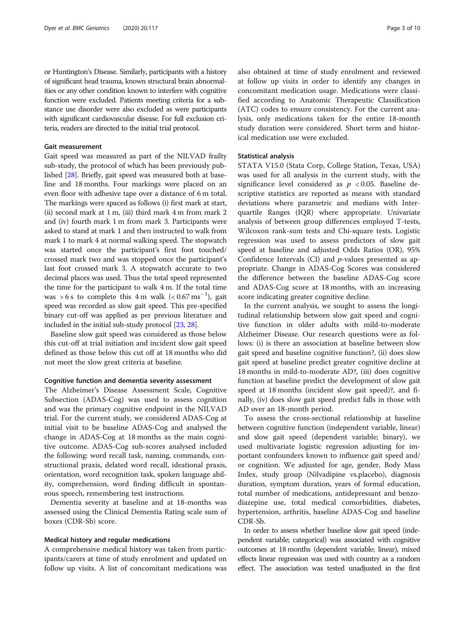or Huntington's Disease. Similarly, participants with a history of significant head trauma, known structural brain abnormalities or any other condition known to interfere with cognitive function were excluded. Patients meeting criteria for a substance use disorder were also excluded as were participants with significant cardiovascular disease. For full exclusion criteria, readers are directed to the initial trial protocol.

## Gait measurement

Gait speed was measured as part of the NILVAD frailty sub-study, the protocol of which has been previously published [\[28\]](#page-9-0). Briefly, gait speed was measured both at baseline and 18 months. Four markings were placed on an even floor with adhesive tape over a distance of 6 m total. The markings were spaced as follows (i) first mark at start, (ii) second mark at 1 m, (iii) third mark 4 m from mark 2 and (iv) fourth mark 1 m from mark 3. Participants were asked to stand at mark 1 and then instructed to walk from mark 1 to mark 4 at normal walking speed. The stopwatch was started once the participant's first foot touched/ crossed mark two and was stopped once the participant's last foot crossed mark 3. A stopwatch accurate to two decimal places was used. Thus the total speed represented the time for the participant to walk 4 m. If the total time was > 6 s to complete this  $4 \text{ m}$  walk (< 0.67 ms<sup>-1</sup>), gait speed was recorded as slow gait speed. This pre-specified binary cut-off was applied as per previous literature and included in the initial sub-study protocol [[23](#page-9-0), [28](#page-9-0)].

Baseline slow gait speed was considered as those below this cut-off at trial initiation and incident slow gait speed defined as those below this cut off at 18 months who did not meet the slow great criteria at baseline.

## Cognitive function and dementia severity assessment

The Alzheimer's Disease Assessment Scale, Cognitive Subsection (ADAS-Cog) was used to assess cognition and was the primary cognitive endpoint in the NILVAD trial. For the current study, we considered ADAS-Cog at initial visit to be baseline ADAS-Cog and analysed the change in ADAS-Cog at 18 months as the main cognitive outcome. ADAS-Cog sub-scores analysed included the following: word recall task, naming, commands, constructional praxis, delated word recall, ideational praxis, orientation, word recognition task, spoken language ability, comprehension, word finding difficult in spontaneous speech, remembering test instructions.

Dementia severity at baseline and at 18-months was assessed using the Clinical Dementia Rating scale sum of boxes (CDR-Sb) score.

## Medical history and regular medications

A comprehensive medical history was taken from participants/carers at time of study enrolment and updated on follow up visits. A list of concomitant medications was also obtained at time of study enrolment and reviewed at follow up visits in order to identify any changes in concomitant medication usage. Medications were classified according to Anatomic Therapeutic Classification (ATC) codes to ensure consistency. For the current analysis, only medications taken for the entire 18-month study duration were considered. Short term and historical medication use were excluded.

## Statistical analysis

STATA V15.0 (Stata Corp, College Station, Texas, USA) was used for all analysis in the current study, with the significance level considered as  $p < 0.05$ . Baseline descriptive statistics are reported as means with standard deviations where parametric and medians with Interquartile Ranges (IQR) where appropriate. Univariate analysis of between group differences employed T-tests, Wilcoxon rank-sum tests and Chi-square tests. Logistic regression was used to assess predictors of slow gait speed at baseline and adjusted Odds Ratios (OR), 95% Confidence Intervals (CI) and  $p$ -values presented as appropriate. Change in ADAS-Cog Scores was considered the difference between the baseline ADAS-Cog score and ADAS-Cog score at 18 months, with an increasing score indicating greater cognitive decline.

In the current analysis, we sought to assess the longitudinal relationship between slow gait speed and cognitive function in older adults with mild-to-moderate Alzheimer Disease. Our research questions were as follows: (i) is there an association at baseline between slow gait speed and baseline cognitive function?, (ii) does slow gait speed at baseline predict greater cognitive decline at 18 months in mild-to-moderate AD?, (iii) does cognitive function at baseline predict the development of slow gait speed at 18 months (incident slow gait speed)?, and finally, (iv) does slow gait speed predict falls in those with AD over an 18-month period.

To assess the cross-sectional relationship at baseline between cognitive function (independent variable, linear) and slow gait speed (dependent variable; binary), we used multivariate logistic regression adjusting for important confounders known to influence gait speed and/ or cognition. We adjusted for age, gender, Body Mass Index, study group (Nilvadipine vs.placebo), diagnosis duration, symptom duration, years of formal education, total number of medications, antidepressant and benzodiazepine use, total medical comorbidities, diabetes, hypertension, arthritis, baseline ADAS-Cog and baseline CDR-Sb.

In order to assess whether baseline slow gait speed (independent variable; categorical) was associated with cognitive outcomes at 18 months (dependent variable; linear), mixed effects linear regression was used with country as a random effect. The association was tested unadjusted in the first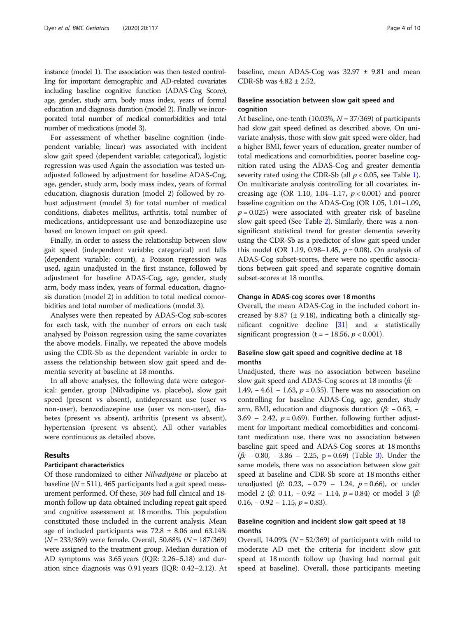instance (model 1). The association was then tested controlling for important demographic and AD-related covariates including baseline cognitive function (ADAS-Cog Score), age, gender, study arm, body mass index, years of formal education and diagnosis duration (model 2). Finally we incorporated total number of medical comorbidities and total number of medications (model 3).

For assessment of whether baseline cognition (independent variable; linear) was associated with incident slow gait speed (dependent variable; categorical), logistic regression was used Again the association was tested unadjusted followed by adjustment for baseline ADAS-Cog, age, gender, study arm, body mass index, years of formal education, diagnosis duration (model 2) followed by robust adjustment (model 3) for total number of medical conditions, diabetes mellitus, arthritis, total number of medications, antidepressant use and benzodiazepine use based on known impact on gait speed.

Finally, in order to assess the relationship between slow gait speed (independent variable; categorical) and falls (dependent variable; count), a Poisson regression was used, again unadjusted in the first instance, followed by adjustment for baseline ADAS-Cog, age, gender, study arm, body mass index, years of formal education, diagnosis duration (model 2) in addition to total medical comorbidities and total number of medications (model 3).

Analyses were then repeated by ADAS-Cog sub-scores for each task, with the number of errors on each task analysed by Poisson regression using the same covariates the above models. Finally, we repeated the above models using the CDR-Sb as the dependent variable in order to assess the relationship between slow gait speed and dementia severity at baseline at 18 months.

In all above analyses, the following data were categorical: gender, group (Nilvadipine vs. placebo), slow gait speed (present vs absent), antidepressant use (user vs non-user), benzodiazepine use (user vs non-user), diabetes (present vs absent), arthritis (present vs absent), hypertension (present vs absent). All other variables were continuous as detailed above.

## Results

### Participant characteristics

Of those randomized to either Nilvadipine or placebo at baseline ( $N = 511$ ), 465 participants had a gait speed measurement performed. Of these, 369 had full clinical and 18 month follow up data obtained including repeat gait speed and cognitive assessment at 18 months. This population constituted those included in the current analysis. Mean age of included participants was  $72.8 \pm 8.06$  and  $63.14\%$  $(N = 233/369)$  were female. Overall, 50.68%  $(N = 187/369)$ were assigned to the treatment group. Median duration of AD symptoms was 3.65 years (IQR: 2.26–5.18) and duration since diagnosis was 0.91 years (IQR: 0.42–2.12). At baseline, mean ADAS-Cog was 32.97 ± 9.81 and mean CDR-Sb was 4.82 ± 2.52.

## Baseline association between slow gait speed and cognition

At baseline, one-tenth (10.03%,  $N = 37/369$ ) of participants had slow gait speed defined as described above. On univariate analysis, those with slow gait speed were older, had a higher BMI, fewer years of education, greater number of total medications and comorbidities, poorer baseline cognition rated using the ADAS-Cog and greater dementia severity rated using the CDR-Sb (all  $p < 0.05$ , see Table [1](#page-4-0)). On multivariate analysis controlling for all covariates, increasing age (OR 1.10, 1.04–1.17,  $p < 0.001$ ) and poorer baseline cognition on the ADAS-Cog (OR 1.05, 1.01–1.09,  $p = 0.025$ ) were associated with greater risk of baseline slow gait speed (See Table [2\)](#page-4-0). Similarly, there was a nonsignificant statistical trend for greater dementia severity using the CDR-Sb as a predictor of slow gait speed under this model (OR 1.19, 0.98–1.45,  $p = 0.08$ ). On analysis of ADAS-Cog subset-scores, there were no specific associations between gait speed and separate cognitive domain subset-scores at 18 months.

## Change in ADAS-cog scores over 18 months

Overall, the mean ADAS-Cog in the included cohort increased by 8.87 ( $\pm$  9.18), indicating both a clinically significant cognitive decline [[31\]](#page-9-0) and a statistically significant progression (t =  $-18.56, p < 0.001$ ).

## Baseline slow gait speed and cognitive decline at 18 months

Unadjusted, there was no association between baseline slow gait speed and ADAS-Cog scores at 18 months ( $\beta$ : – 1.49,  $-4.61 - 1.63$ ,  $p = 0.35$ ). There was no association on controlling for baseline ADAS-Cog, age, gender, study arm, BMI, education and diagnosis duration ( $\beta$ : -0.63, - $3.69 - 2.42$ ,  $p = 0.69$ . Further, following further adjustment for important medical comorbidities and concomitant medication use, there was no association between baseline gait speed and ADAS-Cog scores at 18 months  $(\beta$ : − 0.80, − [3](#page-5-0).86 − 2.25, p = 0.69) (Table 3). Under the same models, there was no association between slow gait speed at baseline and CDR-Sb score at 18 months either unadjusted (β: 0.23, -0.79 - 1.24,  $p = 0.66$ ), or under model 2 ( $\beta$ : 0.11, -0.92 – 1.14,  $p = 0.84$ ) or model 3 ( $\beta$ : 0.16,  $-$  0.92  $-$  1.15,  $p = 0.83$ ).

## Baseline cognition and incident slow gait speed at 18 months

Overall, 14.09% ( $N = 52/369$ ) of participants with mild to moderate AD met the criteria for incident slow gait speed at 18 month follow up (having had normal gait speed at baseline). Overall, those participants meeting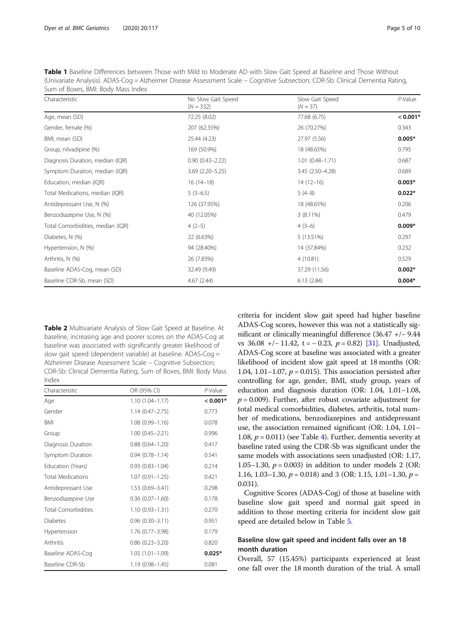<span id="page-4-0"></span>Table 1 Baseline Differences between Those with Mild to Moderate AD with Slow Gait Speed at Baseline and Those Without (Univariate Analysis). ADAS-Cog = Alzheimer Disease Assessment Scale – Cognitive Subsection; CDR-Sb: Clinical Dementia Rating, Sum of Boxes, BMI: Body Mass Index

| Characteristic                    | No Slow Gait Speed<br>$(N = 332)$ | Slow Gait Speed<br>$(N = 37)$ | P-Value    |
|-----------------------------------|-----------------------------------|-------------------------------|------------|
| Age, mean (SD)                    | 72.25 (8.02)                      | 77.68 (6.75)                  | $< 0.001*$ |
| Gender, female (%)                | 207 (62.35%)                      | 26 (70.27%)                   | 0.343      |
| BMI, mean (SD)                    | 25.44 (4.23)                      | 27.97 (5.56)                  | $0.005*$   |
| Group, nilvadipine (%)            | 169 (50.9%)                       | 18 (48.65%)                   | 0.795      |
| Diagnosis Duration, median (IQR)  | $0.90(0.43 - 2.22)$               | $1.01(0.48 - 1.71)$           | 0.687      |
| Symptom Duration, median (IQR)    | $3.69$ (2.20-5.25)                | 3.45 (2.50-4.28)              | 0.689      |
| Education, median (IQR)           | $16(14-18)$                       | $14(12-16)$                   | $0.003*$   |
| Total Medications, median (IQR)   | $5(3-6.5)$                        | $5(4-8)$                      | $0.022*$   |
| Antidepressant Use, N (%)         | 126 (37.95%)                      | 18 (48.65%)                   | 0.206      |
| Benzodiazepine Use, N (%)         | 40 (12.05%)                       | $3(8.11\%)$                   | 0.479      |
| Total Comorbidities, median (IQR) | $4(2-5)$                          | $4(3-6)$                      | $0.009*$   |
| Diabetes, N (%)                   | 22 (6.63%)                        | 5 (13.51%)                    | 0.297      |
| Hypertension, N (%)               | 94 (28.40%)                       | 14 (37.84%)                   | 0.232      |
| Arthritis, N (%)                  | 26 (7.83%)                        | 4(10.81)                      | 0.529      |
| Baseline ADAS-Cog, mean (SD)      | 32.49 (9.49)                      | 37.29 (11.56)                 | $0.002*$   |
| Baseline CDR-Sb, mean (SD)        | 4.67(2.44)                        | 6.13(2.84)                    | $0.004*$   |

Table 2 Multivariate Analysis of Slow Gait Speed at Baseline. At baseline, increasing age and poorer scores on the ADAS-Cog at baseline was associated with significantly greater likelihood of slow gait speed (dependent variable) at baseline. ADAS-Cog = Alzheimer Disease Assessment Scale – Cognitive Subsection; CDR-Sb: Clinical Dementia Rating, Sum of Boxes, BMI: Body Mass Index

| Characteristic             | OR (95% CI)         | $P$ -Value |
|----------------------------|---------------------|------------|
| Age                        | $1.10(1.04 - 1.17)$ | $< 0.001*$ |
| Gender                     | $1.14(0.47 - 2.75)$ | 0.773      |
| <b>BMI</b>                 | $1.08(0.99 - 1.16)$ | 0.078      |
| Group                      | $1.00(0.45 - 2.21)$ | 0.996      |
| Diagnosis Duration         | $0.88(0.64 - 1.20)$ | 0.417      |
| Symptom Duration           | $0.94(0.78 - 1.14)$ | 0.541      |
| Education (Years)          | $0.93(0.83 - 1.04)$ | 0.214      |
| <b>Total Medications</b>   | $1.07(0.91 - 1.25)$ | 0.421      |
| Antidepressant Use         | $1.53(0.69 - 3.41)$ | 0.298      |
| Benzodiazepine Use         | $0.36(0.07 - 1.60)$ | 0.178      |
| <b>Total Comorbidities</b> | $1.10(0.93 - 1.31)$ | 0.270      |
| <b>Diabetes</b>            | $0.96(0.30 - 3.11)$ | 0.951      |
| Hypertension               | 1.76 (0.77-3.98)    | 0.179      |
| Arthritis                  | $0.86(0.23 - 3.20)$ | 0.820      |
| Baseline ADAS-Cog          | $1.05(1.01 - 1.09)$ | $0.025*$   |
| Baseline CDR-Sb            | $1.19(0.98 - 1.45)$ | 0.081      |
|                            |                     |            |

criteria for incident slow gait speed had higher baseline ADAS-Cog scores, however this was not a statistically significant or clinically meaningful difference (36.47 +/− 9.44 vs  $36.08$  +/− 11.42, t = − 0.23, p = 0.82) [[31](#page-9-0)]. Unadjusted, ADAS-Cog score at baseline was associated with a greater likelihood of incident slow gait speed at 18 months (OR: 1.04, 1.01–1.07,  $p = 0.015$ ). This association persisted after controlling for age, gender, BMI, study group, years of education and diagnosis duration (OR: 1.04, 1.01–1.08,  $p = 0.009$ ). Further, after robust covariate adjustment for total medical comorbidities, diabetes, arthritis, total number of medications, benzodiazepines and antidepressant use, the association remained significant (OR: 1.04, 1.01– 1.08,  $p = 0.011$ ) (see Table [4\)](#page-5-0). Further, dementia severity at baseline rated using the CDR-Sb was significant under the same models with associations seen unadjusted (OR: 1.17, 1.05–1.30,  $p = 0.003$ ) in addition to under models 2 (OR: 1.16, 1.03–1.30,  $p = 0.018$ ) and 3 (OR: 1.15, 1.01–1.30,  $p =$ 0.031).

Cognitive Scores (ADAS-Cog) of those at baseline with baseline slow gait speed and normal gait speed in addition to those meeting criteria for incident slow gait speed are detailed below in Table [5.](#page-6-0)

## Baseline slow gait speed and incident falls over an 18 month duration

Overall, 57 (15.45%) participants experienced at least one fall over the 18 month duration of the trial. A small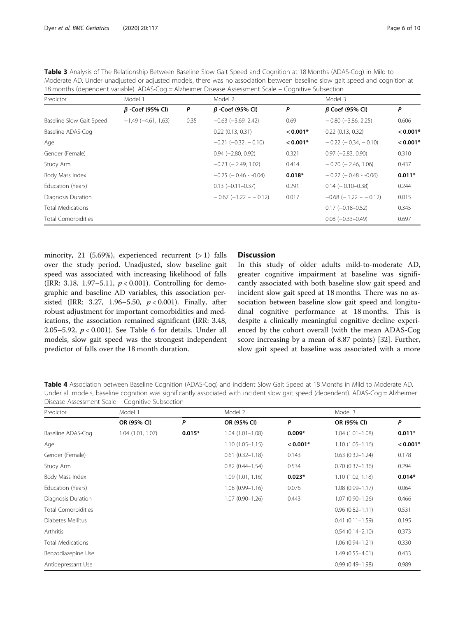<span id="page-5-0"></span>Table 3 Analysis of The Relationship Between Baseline Slow Gait Speed and Cognition at 18 Months (ADAS-Cog) in Mild to Moderate AD. Under unadjusted or adjusted models, there was no association between baseline slow gait speed and cognition at 18 months (dependent variable). ADAS-Cog = Alzheimer Disease Assessment Scale – Cognitive Subsection

| Predictor                  | Model 1                   |      | Model 2                       |            | Model 3                       |            |
|----------------------------|---------------------------|------|-------------------------------|------------|-------------------------------|------------|
|                            | $\beta$ -Coef (95% CI)    | P    | $\beta$ -Coef (95% CI)        | P          | $\beta$ Coef (95% CI)         | P          |
| Baseline Slow Gait Speed   | $-1.49$ ( $-4.61$ , 1.63) | 0.35 | $-0.63$ ( $-3.69$ , 2.42)     | 0.69       | $-0.80$ (-3.86, 2.25)         | 0.606      |
| Baseline ADAS-Cog          |                           |      | $0.22$ $(0.13, 0.31)$         | $< 0.001*$ | 0.22(0.13, 0.32)              | $< 0.001*$ |
| Age                        |                           |      | $-0.21$ $(-0.32, -0.10)$      | $< 0.001*$ | $-0.22$ ( $-0.34$ , $-0.10$ ) | $< 0.001*$ |
| Gender (Female)            |                           |      | $0.94 (-2.80, 0.92)$          | 0.321      | $0.97$ ( $-2.83$ , $0.90$ )   | 0.310      |
| Study Arm                  |                           |      | $-0.73$ ( $-2.49$ , 1.02)     | 0.414      | $-0.70$ ( $-2.46$ , 1.06)     | 0.437      |
| Body Mass Index            |                           |      | $-0.25$ ( $-0.46$ - $-0.04$ ) | $0.018*$   | $-0.27$ ( $-0.48$ - $-0.06$ ) | $0.011*$   |
| Education (Years)          |                           |      | $0.13 (-0.11 - 0.37)$         | 0.291      | $0.14 (-0.10 - 0.38)$         | 0.244      |
| Diagnosis Duration         |                           |      | $-0.67$ ( $-1.22$ $-0.12$ )   | 0.017      | $-0.68$ ( $-1.22$ $ -0.12$ )  | 0.015      |
| <b>Total Medications</b>   |                           |      |                               |            | $0.17 (-0.18 - 0.52)$         | 0.345      |
| <b>Total Comorbidities</b> |                           |      |                               |            | $0.08$ $(-0.33 - 0.49)$       | 0.697      |
|                            |                           |      |                               |            |                               |            |

minority, 21 (5.69%), experienced recurrent  $(>1)$  falls over the study period. Unadjusted, slow baseline gait speed was associated with increasing likelihood of falls (IRR: 3.18, 1.97–5.11,  $p < 0.001$ ). Controlling for demographic and baseline AD variables, this association persisted (IRR: 3.27, 1.96-5.50,  $p < 0.001$ ). Finally, after robust adjustment for important comorbidities and medications, the association remained significant (IRR: 3.48, 2.05–5.92,  $p < 0.001$ ). See Table [6](#page-6-0) for details. Under all models, slow gait speed was the strongest independent predictor of falls over the 18 month duration.

## **Discussion**

In this study of older adults mild-to-moderate AD, greater cognitive impairment at baseline was significantly associated with both baseline slow gait speed and incident slow gait speed at 18 months. There was no association between baseline slow gait speed and longitudinal cognitive performance at 18 months. This is despite a clinically meaningful cognitive decline experienced by the cohort overall (with the mean ADAS-Cog score increasing by a mean of 8.87 points) [32]. Further, slow gait speed at baseline was associated with a more

Table 4 Association between Baseline Cognition (ADAS-Cog) and incident Slow Gait Speed at 18 Months in Mild to Moderate AD. Under all models, baseline cognition was significantly associated with incident slow gait speed (dependent). ADAS-Cog = Alzheimer Disease Assessment Scale – Cognitive Subsection

| Predictor                  | Model 1           |          | Model 2             |            | Model 3             |            |
|----------------------------|-------------------|----------|---------------------|------------|---------------------|------------|
|                            | OR (95% CI)       | P        | OR (95% CI)         | P          | OR (95% CI)         | P          |
| Baseline ADAS-Cog          | 1.04 (1.01, 1.07) | $0.015*$ | $1.04(1.01 - 1.08)$ | $0.009*$   | $1.04(1.01 - 1.08)$ | $0.011*$   |
| Age                        |                   |          | $1.10(1.05 - 1.15)$ | $< 0.001*$ | $1.10(1.05 - 1.16)$ | $< 0.001*$ |
| Gender (Female)            |                   |          | $0.61(0.32 - 1.18)$ | 0.143      | $0.63(0.32 - 1.24)$ | 0.178      |
| Study Arm                  |                   |          | $0.82(0.44 - 1.54)$ | 0.534      | $0.70(0.37 - 1.36)$ | 0.294      |
| Body Mass Index            |                   |          | 1.09(1.01, 1.16)    | $0.023*$   | 1.10(1.02, 1.18)    | $0.014*$   |
| Education (Years)          |                   |          | $1.08(0.99 - 1.16)$ | 0.076      | $1.08(0.99 - 1.17)$ | 0.064      |
| Diagnosis Duration         |                   |          | $1.07(0.90 - 1.26)$ | 0.443      | $1.07(0.90 - 1.26)$ | 0.466      |
| <b>Total Comorbidities</b> |                   |          |                     |            | $0.96(0.82 - 1.11)$ | 0.531      |
| Diabetes Mellitus          |                   |          |                     |            | $0.41(0.11 - 1.59)$ | 0.195      |
| Arthritis                  |                   |          |                     |            | $0.54(0.14 - 2.10)$ | 0.373      |
| <b>Total Medications</b>   |                   |          |                     |            | $1.06(0.94 - 1.21)$ | 0.330      |
| Benzodiazepine Use         |                   |          |                     |            | $1.49(0.55 - 4.01)$ | 0.433      |
| Antidepressant Use         |                   |          |                     |            | $0.99(0.49 - 1.98)$ | 0.989      |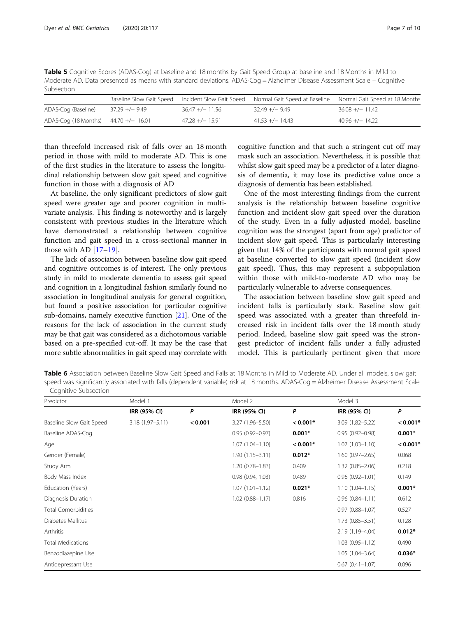<span id="page-6-0"></span>Table 5 Cognitive Scores (ADAS-Cog) at baseline and 18 months by Gait Speed Group at baseline and 18 Months in Mild to Moderate AD. Data presented as means with standard deviations. ADAS-Cog = Alzheimer Disease Assessment Scale – Cognitive Subsection

|                                        |                |                   |                   | Baseline Slow Gait Speed Incident Slow Gait Speed Normal Gait Speed at Baseline Normal Gait Speed at 18 Months |
|----------------------------------------|----------------|-------------------|-------------------|----------------------------------------------------------------------------------------------------------------|
| ADAS-Cog (Baseline)                    | 37.29 +/– 9.49 | 36.47 +/- 11.56   | $32.49 + (-9.49)$ | $36.08 +/- 11.42$                                                                                              |
| ADAS-Cog (18 Months) $44.70 +/- 16.01$ |                | $47.28 +/- 15.91$ | $41.53 +/- 14.43$ | $40.96 +/- 14.22$                                                                                              |

than threefold increased risk of falls over an 18 month period in those with mild to moderate AD. This is one of the first studies in the literature to assess the longitudinal relationship between slow gait speed and cognitive function in those with a diagnosis of AD

At baseline, the only significant predictors of slow gait speed were greater age and poorer cognition in multivariate analysis. This finding is noteworthy and is largely consistent with previous studies in the literature which have demonstrated a relationship between cognitive function and gait speed in a cross-sectional manner in those with AD  $[17-19]$  $[17-19]$  $[17-19]$  $[17-19]$ .

The lack of association between baseline slow gait speed and cognitive outcomes is of interest. The only previous study in mild to moderate dementia to assess gait speed and cognition in a longitudinal fashion similarly found no association in longitudinal analysis for general cognition, but found a positive association for particular cognitive sub-domains, namely executive function [\[21\]](#page-9-0). One of the reasons for the lack of association in the current study may be that gait was considered as a dichotomous variable based on a pre-specified cut-off. It may be the case that more subtle abnormalities in gait speed may correlate with

cognitive function and that such a stringent cut off may mask such an association. Nevertheless, it is possible that whilst slow gait speed may be a predictor of a later diagnosis of dementia, it may lose its predictive value once a diagnosis of dementia has been established.

One of the most interesting findings from the current analysis is the relationship between baseline cognitive function and incident slow gait speed over the duration of the study. Even in a fully adjusted model, baseline cognition was the strongest (apart from age) predictor of incident slow gait speed. This is particularly interesting given that 14% of the participants with normal gait speed at baseline converted to slow gait speed (incident slow gait speed). Thus, this may represent a subpopulation within those with mild-to-moderate AD who may be particularly vulnerable to adverse consequences.

The association between baseline slow gait speed and incident falls is particularly stark. Baseline slow gait speed was associated with a greater than threefold increased risk in incident falls over the 18 month study period. Indeed, baseline slow gait speed was the strongest predictor of incident falls under a fully adjusted model. This is particularly pertinent given that more

Table 6 Association between Baseline Slow Gait Speed and Falls at 18 Months in Mild to Moderate AD. Under all models, slow gait speed was significantly associated with falls (dependent variable) risk at 18 months. ADAS-Cog = Alzheimer Disease Assessment Scale – Cognitive Subsection

| Predictor                  | Model 1             |         | Model 2             |            | Model 3             |            |
|----------------------------|---------------------|---------|---------------------|------------|---------------------|------------|
|                            | IRR (95% CI)        | P       | IRR (95% CI)        | P          | IRR (95% CI)        | P          |
| Baseline Slow Gait Speed   | $3.18(1.97 - 5.11)$ | < 0.001 | 3.27 (1.96-5.50)    | $< 0.001*$ | 3.09 (1.82-5.22)    | $< 0.001*$ |
| Baseline ADAS-Cog          |                     |         | $0.95(0.92 - 0.97)$ | $0.001*$   | $0.95(0.92 - 0.98)$ | $0.001*$   |
| Age                        |                     |         | $1.07(1.04 - 1.10)$ | $< 0.001*$ | $1.07(1.03 - 1.10)$ | $< 0.001*$ |
| Gender (Female)            |                     |         | $1.90(1.15 - 3.11)$ | $0.012*$   | $1.60(0.97 - 2.65)$ | 0.068      |
| Study Arm                  |                     |         | $1.20(0.78 - 1.83)$ | 0.409      | $1.32(0.85 - 2.06)$ | 0.218      |
| Body Mass Index            |                     |         | 0.98(0.94, 1.03)    | 0.489      | $0.96(0.92 - 1.01)$ | 0.149      |
| Education (Years)          |                     |         | $1.07(1.01 - 1.12)$ | $0.021*$   | $1.10(1.04 - 1.15)$ | $0.001*$   |
| Diagnosis Duration         |                     |         | $1.02(0.88 - 1.17)$ | 0.816      | $0.96(0.84 - 1.11)$ | 0.612      |
| <b>Total Comorbidities</b> |                     |         |                     |            | $0.97(0.88 - 1.07)$ | 0.527      |
| Diabetes Mellitus          |                     |         |                     |            | $1.73(0.85 - 3.51)$ | 0.128      |
| Arthritis                  |                     |         |                     |            | 2.19 (1.19-4.04)    | $0.012*$   |
| <b>Total Medications</b>   |                     |         |                     |            | $1.03(0.95 - 1.12)$ | 0.490      |
| Benzodiazepine Use         |                     |         |                     |            | $1.05(1.04 - 3.64)$ | $0.036*$   |
| Antidepressant Use         |                     |         |                     |            | $0.67(0.41 - 1.07)$ | 0.096      |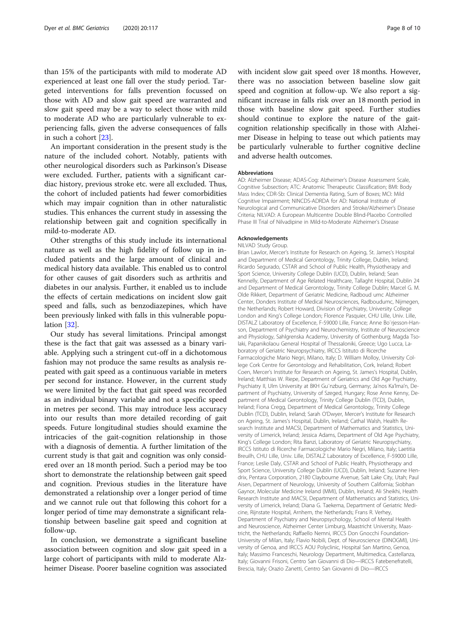than 15% of the participants with mild to moderate AD experienced at least one fall over the study period. Targeted interventions for falls prevention focussed on those with AD and slow gait speed are warranted and slow gait speed may be a way to select those with mild to moderate AD who are particularly vulnerable to experiencing falls, given the adverse consequences of falls in such a cohort [[23](#page-9-0)].

An important consideration in the present study is the nature of the included cohort. Notably, patients with other neurological disorders such as Parkinson's Disease were excluded. Further, patients with a significant cardiac history, previous stroke etc. were all excluded. Thus, the cohort of included patients had fewer comorbidities which may impair cognition than in other naturalistic studies. This enhances the current study in assessing the relationship between gait and cognition specifically in mild-to-moderate AD.

Other strengths of this study include its international nature as well as the high fidelity of follow up in included patients and the large amount of clinical and medical history data available. This enabled us to control for other causes of gait disorders such as arthritis and diabetes in our analysis. Further, it enabled us to include the effects of certain medications on incident slow gait speed and falls, such as benzodiazepines, which have been previously linked with falls in this vulnerable population [[32\]](#page-9-0).

Our study has several limitations. Principal amongst these is the fact that gait was assessed as a binary variable. Applying such a stringent cut-off in a dichotomous fashion may not produce the same results as analysis repeated with gait speed as a continuous variable in meters per second for instance. However, in the current study we were limited by the fact that gait speed was recorded as an individual binary variable and not a specific speed in metres per second. This may introduce less accuracy into our results than more detailed recording of gait speeds. Future longitudinal studies should examine the intricacies of the gait-cognition relationship in those with a diagnosis of dementia. A further limitation of the current study is that gait and cognition was only considered over an 18 month period. Such a period may be too short to demonstrate the relationship between gait speed and cognition. Previous studies in the literature have demonstrated a relationship over a longer period of time and we cannot rule out that following this cohort for a longer period of time may demonstrate a significant relationship between baseline gait speed and cognition at follow-up.

In conclusion, we demonstrate a significant baseline association between cognition and slow gait speed in a large cohort of participants with mild to moderate Alzheimer Disease. Poorer baseline cognition was associated with incident slow gait speed over 18 months. However, there was no association between baseline slow gait speed and cognition at follow-up. We also report a significant increase in falls risk over an 18 month period in those with baseline slow gait speed. Further studies should continue to explore the nature of the gaitcognition relationship specifically in those with Alzheimer Disease in helping to tease out which patients may be particularly vulnerable to further cognitive decline and adverse health outcomes.

#### **Abbreviations**

AD: Alzheimer Disease; ADAS-Cog: Alzheimer's Disease Assessment Scale, Cognitive Subsection; ATC: Anatomic Therapeutic Classification; BMI: Body Mass Index; CDR-Sb: Clinical Dementia Rating, Sum of Boxes; MCI: Mild Cognitive Impairment; NINCDS-ADRDA for AD: National Institute of Neurological and Communicative Disorders and Stroke/Alzheimer's Disease Criteria; NILVAD: A European Multicentre Double Blind-Placebo Controlled Phase III Trial of Nilvadipine in Mild-to-Moderate Alzheimer's Disease

#### Acknowledgements

#### NILVAD Study Group.

Brian Lawlor, Mercer's Institute for Research on Ageing, St. James's Hospital and Department of Medical Gerontology, Trinity College, Dublin, Ireland; Ricardo Segurado, CSTAR and School of Public Health, Physiotherapy and Sport Science, University College Dublin (UCD), Dublin, Ireland; Sean Kennelly, Department of Age Related Healthcare, Tallaght Hospital, Dublin 24 and Department of Medical Gerontology, Trinity College Dublin; Marcel G. M. Olde Rikkert, Department of Geriatric Medicine, Radboud umc Alzheimer Center, Donders Institute of Medical Neurosciences, Radboudumc, Nijmegen, the Netherlands; Robert Howard, Division of Psychiatry, University College London and King's College London; Florence Pasquier, CHU Lille, Univ. Lille, DISTALZ Laboratory of Excellence, F-59000 Lille, France; Anne Bo¨rjesson-Hanson, Department of Psychiatry and Neurochemistry, Institute of Neuroscience and Physiology, Sahlgrenska Academy, University of Gothenburg; Magda Tsolaki, Papanikolaou General Hospital of Thessaloniki, Greece; Ugo Lucca, Laboratory of Geriatric Neuropsychiatry, IRCCS Istituto di Ricerche Farmacologiche Mario Negri, Milano, Italy; D. William Molloy, University College Cork Centre for Gerontology and Rehabilitation, Cork, Ireland; Robert Coen, Mercer's Institute for Research on Ageing, St. James's Hospital, Dublin, Ireland; Matthias W. Riepe, Department of Geriatrics and Old Age Psychiatry, Psychiatry II, Ulm University at BKH Gu¨nzburg, Germany; Ja'nos Ka'lma'n, Department of Psychiatry, University of Szeged, Hungary; Rose Anne Kenny, Department of Medical Gerontology, Trinity College Dublin (TCD), Dublin, Ireland; Fiona Cregg, Department of Medical Gerontology, Trinity College Dublin (TCD), Dublin, Ireland; Sarah O'Dwyer, Mercer's Institute for Research on Ageing, St. James's Hospital, Dublin, Ireland; Cathal Walsh, Health Research Institute and MACSI, Department of Mathematics and Statistics, University of Limerick, Ireland; Jessica Adams, Department of Old Age Psychiatry, King's College London; Rita Banzi, Laboratory of Geriatric Neuropsychiatry, IRCCS Istituto di Ricerche Farmacologiche Mario Negri, Milano, Italy; Laetitia Breuilh, CHU Lille, Univ. Lille, DISTALZ Laboratory of Excellence, F-59000 Lille, France; Leslie Daly, CSTAR and School of Public Health, Physiotherapy and Sport Science, University College Dublin (UCD), Dublin, Ireland; Suzanne Hendrix, Pentara Corporation, 2180 Claybourne Avenue, Salt Lake City, Utah; Paul Aisen, Department of Neurology, University of Southern California; Siobhan Gaynor, Molecular Medicine Ireland (MMI), Dublin, Ireland; Ali Sheikhi, Health Research Institute and MACSI, Department of Mathematics and Statistics, University of Limerick, Ireland; Diana G. Taekema, Department of Geriatric Medicine, Rijnstate Hospital, Arnhem, the Netherlands; Frans R. Verhey, Department of Psychiatry and Neuropsychology, School of Mental Health and Neuroscience, Alzheimer Center Limburg, Maastricht University, Maastricht, the Netherlands; Raffaello Nemni, IRCCS Don Gnocchi Foundation-University of Milan, Italy; Flavio Nobili, Dept. of Neuroscience (DINOGMI), University of Genoa, and IRCCS AOU Polyclinic, Hospital San Martino, Genoa, Italy; Massimo Franceschi, Neurology Department, Multimedica, Castellanza, Italy; Giovanni Frisoni, Centro San Giovanni di Dio—IRCCS Fatebenefratelli, Brescia, Italy; Orazio Zanetti, Centro San Giovanni di Dio—IRCCS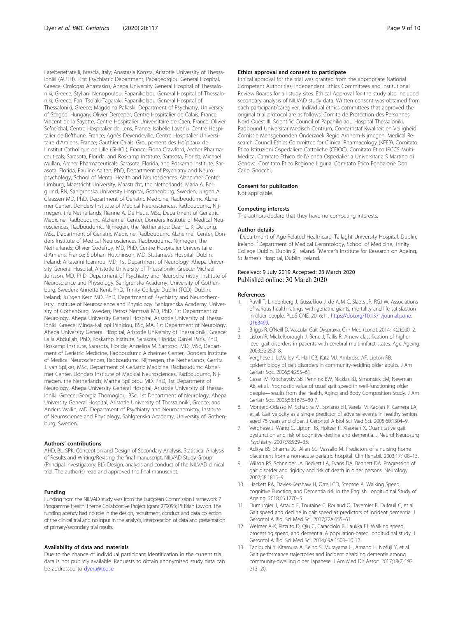<span id="page-8-0"></span>Fatebenefratelli, Brescia, Italy; Anastasia Konsta, Aristotle University of Thessaloniki (AUTH), First Psychiatric Department, Papageorgiou General Hospital, Greece; Orologas Anastasios, Ahepa University General Hospital of Thessaloniki, Greece; Styliani Nenopoulou, Papanikolaou General Hospital of Thessaloniki, Greece; Fani Tsolaki-Tagaraki, Papanikolaou General Hospital of Thessaloniki, Greece; Magdolna Pakaski, Department of Psychiatry, University of Szeged, Hungary; Olivier Dereeper, Centre Hospitalier de Calais, France; Vincent de la Sayette, Centre Hospitalier Universitaire de Caen, France; Olivier Se′ne'chal, Centre Hospitalier de Lens, France; Isabelle Lavenu, Centre Hospitalier de Be′thune, France; Agnès Devendeville, Centre Hospitalier Universitaire d'Amiens, France; Gauthier Calais, Groupement des Hoˆpitaux de l'Institut Catholique de Lille (GHICL), France; Fiona Crawford, Archer Pharmaceuticals, Sarasota, Florida, and Roskamp Institute, Sarasota, Florida; Michael Mullan, Archer Pharmaceuticals, Sarasota, Florida, and Roskamp Institute, Sarasota, Florida, Pauline Aalten, PhD, Department of Psychiatry and Neuropsychology, School of Mental Health and Neurosciences, Alzheimer Center Limburg, Maastricht University, Maastricht, the Netherlands; Maria A. Berglund, RN, Sahlgrenska University Hospital, Gothenburg, Sweden; Jurgen A. Claassen MD, PhD, Department of Geriatric Medicine, Radboudumc Alzheimer Center, Donders Institute of Medical Neurosciences, Radboudumc, Nijmegen, the Netherlands; Rianne A. De Heus, MSc, Department of Geriatric Medicine, Radboudumc Alzheimer Center, Donders Institute of Medical Neurosciences, Radboudumc, Nijmegen, the Netherlands; Daan L. K. De Jong, MSc, Department of Geriatric Medicine, Radboudumc Alzheimer Center, Donders Institute of Medical Neurosciences, Radboudumc, Nijmegen, the Netherlands; Olivier Godefroy, MD, PhD, Centre Hospitalier Universitaire d'Amiens, France; Siobhan Hutchinson, MD, St. James's Hospital, Dublin, Ireland; Aikaterini Ioannou, MD, 1st Department of Neurology, Ahepa University General Hospital, Aristotle University of Thessaloniki, Greece; Michael Jonsson, MD, PhD, Department of Psychiatry and Neurochemistry, Institute of Neuroscience and Physiology, Sahlgrenska Academy, University of Gothenburg, Sweden; Annette Kent, PhD, Trinity College Dublin (TCD), Dublin, Ireland; Ju¨rgen Kern MD, PhD, Department of Psychiatry and Neurochemistry, Institute of Neuroscience and Physiology, Sahlgrenska Academy, University of Gothenburg, Sweden; Petros Nemtsas MD, PhD, 1st Department of Neurology, Ahepa University General Hospital, Aristotle University of Thessaloniki, Greece; Minoa-Kalliopi Panidou, BSc, MA, 1st Department of Neurology, Ahepa University General Hospital, Aristotle University of Thessaloniki, Greece; Laila Abdullah, PhD, Roskamp Institute, Sarasota, Florida; Daniel Paris, PhD, Roskamp Institute, Sarasota, Florida; Angelina M. Santoso, MD, MSc, Department of Geriatric Medicine, Radboudumc Alzheimer Center, Donders Institute of Medical Neurosciences, Radboudumc, Nijmegen, the Netherlands; Gerrita J. van Spijker, MSc, Department of Geriatric Medicine, Radboudumc Alzheimer Center, Donders Institute of Medical Neurosciences, Radboudumc, Nijmegen, the Netherlands; Martha Spiliotou MD, PhD, 1st Department of Neurology, Ahepa University General Hospital, Aristotle University of Thessaloniki, Greece; Georgia Thomoglou, BSc, 1st Department of Neurology, Ahepa University General Hospital, Aristotle University of Thessaloniki, Greece; and Anders Wallin, MD, Department of Psychiatry and Neurochemistry, Institute of Neuroscience and Physiology, Sahlgrenska Academy, University of Gothenburg, Sweden.

#### Authors' contributions

AHD, BL, SPK: Conception and Design of Secondary Analysis, Statistical Analysis of Results and Writing/Revising the final manuscript. NILVAD Study Group (Principal Investigatory: BL): Design, analysis and conduct of the NILVAD clinical trial. The author(s) read and approved the final manuscript.

#### Funding

Funding from the NILVAD study was from the European Commission Framework 7 Programme Health Theme Collaborative Project (grant 279093; PI: Brian Lawlor). The funding agency had no role in the design, recruitment, conduct and data collection of the clinical trial and no input in the analysis, interpretation of data and presentation of primary/secondary trial results.

### Availability of data and materials

Due to the chance of individual participant identification in the current trial, data is not publicly available. Requests to obtain anonymised study data can be addressed to [dyera@tcd.ie](mailto:dyera@tcd.ie)

## Ethics approval and consent to participate

Ethical approval for the trial was granted from the appropriate National Competent Authorities, Independent Ethics Committees and Institutional Review Boards for all study sites. Ethical Approval for the study also included secondary analysis of NILVAD study data. Written consent was obtained from each participant/caregiver. Individual ethics committees that approved the original trial protocol are as follows: Comite de Protection des Personnes Nord Ouest III, Scientific Council of Papanikolaou Hospital Thessaloniki, Radbound Universitar Medisch Centrum, Concernstaf Kwaliteit en Veiligheid Comissie Mensgebonden Onderzoek Regio Arnhem-Nijmegen, Medical Research Council Ethics Committee for Clinical Pharmacology (KFEB), Comitato Etico Istituzioni Ospedaliere Cattoliche (CEIOC), Comitato Etico IRCCS Multi-Medica, Camitato Ethico dell'Aienda Ospedalier a Universitaria S Martino di Genova, Comitato Etico Regione Liguria, Comitato Etico Fondaione Don Carlo Gnocchi.

#### Consent for publication

Not applicable.

#### Competing interests

The authors declare that they have no competing interests.

#### Author details

<sup>1</sup>Department of Age-Related Healthcare, Tallaght University Hospital, Dublin, Ireland. <sup>2</sup>Department of Medical Gerontology, School of Medicine, Trinity College Dublin, Dublin 2, Ireland. <sup>3</sup>Mercer's Institute for Research on Ageing St James's Hospital, Dublin, Ireland.

## Received: 9 July 2019 Accepted: 23 March 2020<br>Published online: 30 March 2020

#### References

- Puvill T, Lindenberg J, Gussekloo J, de AJM C, Slaets JP, RGJ W. Associations of various health-ratings with geriatric giants, mortality and life satisfaction in older people. PLoS ONE. 2016;11. [https://doi.org/10.1371/journal.pone.](https://doi.org/10.1371/journal.pone.0163499) [0163499.](https://doi.org/10.1371/journal.pone.0163499)
- 2. Briggs R, O'Neill D. Vascular Gait Dyspraxia. Clin Med (Lond). 2014;14(2):200–2.
- 3. Liston R, Mickelborough J, Bene J, Tallis R. A new classification of higher level gait disorders in patients with cerebral multi-infarct states. Age Ageing. 2003;32:252–8.
- 4. Verghese J, LeValley A, Hall CB, Katz MJ, Ambrose AF, Lipton RB Epidemiology of gait disorders in community-residing older adults. J Am Geriatr Soc. 2006;54:255–61.
- 5. Cesari M, Kritchevsky SB, Penninx BW, Nicklas BJ, Simonsick EM, Newman AB, et al. Prognostic value of usual gait speed in well-functioning older people—results from the Health, Aging and Body Composition Study. J Am Geriatr Soc. 2005;53:1675–80 7.
- 6. Montero-Odasso M, Schapira M, Soriano ER, Varela M, Kaplan R, Camera LA, et al. Gait velocity as a single predictor of adverse events in healthy seniors aged 75 years and older. J Gerontol A Biol Sci Med Sci. 2005;60:1304–9.
- 7. Verghese J, Wang C, Lipton RB, Holtzer R, Xiaonan X. Quantitative gait dysfunction and risk of cognitive decline and dementia. J Neurol Neurosurg Psychiatry. 2007;78:929–35.
- 8. Aditya BS, Sharma JC, Allen SC, Vassallo M. Predictors of a nursing home placement from a non-acute geriatric hospital. Clin Rehabil. 2003;17:108–13.
- 9. Wilson RS, Schneider JA, Beckett LA, Evans DA, Bennett DA. Progression of gait disorder and rigidity and risk of death in older persons. Neurology. 2002;58:1815–9.
- 10. Hackett RA, Davies-Kershaw H, Orrell CD, Steptoe A. Walking Speed, cognitive Function, and Dementia risk in the English Longitudinal Study of Ageing. 2018;66:1270–5.
- 11. Dumurgier J, Artaud F, Touraine C, Rouaud O, Tavemier B, Dufouil C, et al. Gait speed and decline in gait speed as predictors of incident dementia. J Gerontol A Biol Sci Med Sci. 2017;72A:655–61.
- 12. Welmer A-K, Rizzuto D, Qiu C, Caracciolo B, Laukka EJ. Walking speed, processing speed, and dementia: A population-based longitudinal study. J Gerontol A Biol Sci Med Sci. 2014;69A:1503–10 12.
- 13. Taniguchi Y, Kitamura A, Seino S, Murayama H, Amano H, Nofuji Y, et al. Gait performance trajectories and incident disabling dementia among community-dwelling older Japanese. J Am Med Dir Assoc. 2017;18(2):192. e13–20.